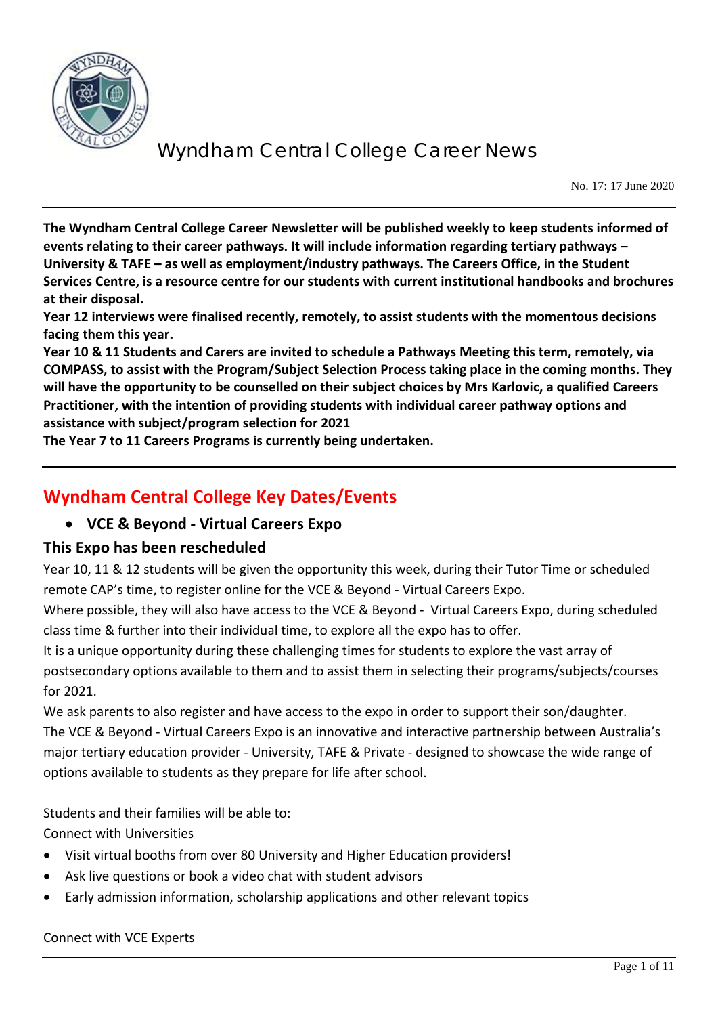

No. 17: 17 June 2020

**The Wyndham Central College Career Newsletter will be published weekly to keep students informed of events relating to their career pathways. It will include information regarding tertiary pathways – University & TAFE – as well as employment/industry pathways. The Careers Office, in the Student Services Centre, is a resource centre for our students with current institutional handbooks and brochures at their disposal.** 

**Year 12 interviews were finalised recently, remotely, to assist students with the momentous decisions facing them this year.** 

**Year 10 & 11 Students and Carers are invited to schedule a Pathways Meeting this term, remotely, via COMPASS, to assist with the Program/Subject Selection Process taking place in the coming months. They will have the opportunity to be counselled on their subject choices by Mrs Karlovic, a qualified Careers Practitioner, with the intention of providing students with individual career pathway options and assistance with subject/program selection for 2021**

**The Year 7 to 11 Careers Programs is currently being undertaken.**

## **Wyndham Central College Key Dates/Events**

### • **VCE & Beyond - Virtual Careers Expo**

### **This Expo has been rescheduled**

Year 10, 11 & 12 students will be given the opportunity this week, during their Tutor Time or scheduled remote CAP's time, to register online for the VCE & Beyond - Virtual Careers Expo.

Where possible, they will also have access to the VCE & Beyond - Virtual Careers Expo, during scheduled class time & further into their individual time, to explore all the expo has to offer.

It is a unique opportunity during these challenging times for students to explore the vast array of postsecondary options available to them and to assist them in selecting their programs/subjects/courses for 2021.

We ask parents to also register and have access to the expo in order to support their son/daughter. The VCE & Beyond - Virtual Careers Expo is an innovative and interactive partnership between Australia's major tertiary education provider - University, TAFE & Private - designed to showcase the wide range of options available to students as they prepare for life after school.

Students and their families will be able to:

Connect with Universities

- Visit virtual booths from over 80 University and Higher Education providers!
- Ask live questions or book a video chat with student advisors
- Early admission information, scholarship applications and other relevant topics

#### Connect with VCE Experts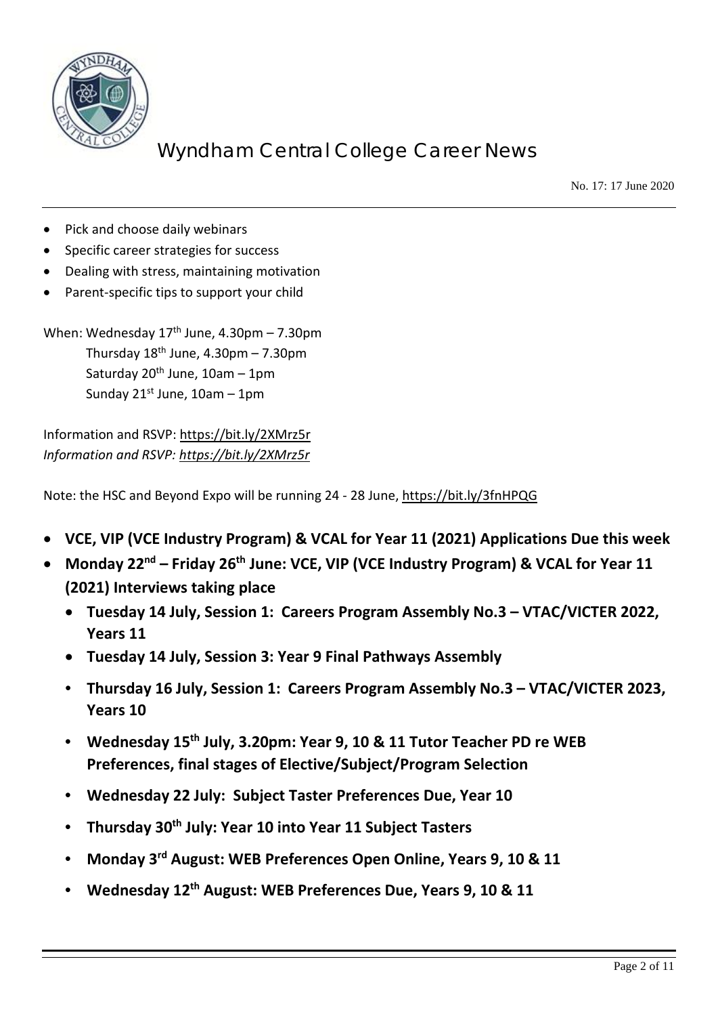

No. 17: 17 June 2020

- Pick and choose daily webinars
- Specific career strategies for success
- Dealing with stress, maintaining motivation
- Parent-specific tips to support your child

When: Wednesday  $17<sup>th</sup>$  June, 4.30pm – 7.30pm Thursday  $18<sup>th</sup>$  June,  $4.30$ pm – 7.30pm Saturday  $20<sup>th</sup>$  June,  $10am - 1pm$ Sunday  $21^{st}$  June,  $10$ am – 1pm

Information and RSVP:<https://bit.ly/2XMrz5r> *Information and RSVP:<https://bit.ly/2XMrz5r>*

Note: the HSC and Beyond Expo will be running 24 - 28 June,<https://bit.ly/3fnHPQG>

- **VCE, VIP (VCE Industry Program) & VCAL for Year 11 (2021) Applications Due this week**
- **Monday 22nd – Friday 26th June: VCE, VIP (VCE Industry Program) & VCAL for Year 11 (2021) Interviews taking place**
	- **Tuesday 14 July, Session 1: Careers Program Assembly No.3 – VTAC/VICTER 2022, Years 11**
	- **Tuesday 14 July, Session 3: Year 9 Final Pathways Assembly**
	- **Thursday 16 July, Session 1: Careers Program Assembly No.3 – VTAC/VICTER 2023, Years 10**
	- **Wednesday 15th July, 3.20pm: Year 9, 10 & 11 Tutor Teacher PD re WEB Preferences, final stages of Elective/Subject/Program Selection**
	- **Wednesday 22 July: Subject Taster Preferences Due, Year 10**
	- **Thursday 30th July: Year 10 into Year 11 Subject Tasters**
	- **Monday 3rd August: WEB Preferences Open Online, Years 9, 10 & 11**
	- **Wednesday 12th August: WEB Preferences Due, Years 9, 10 & 11**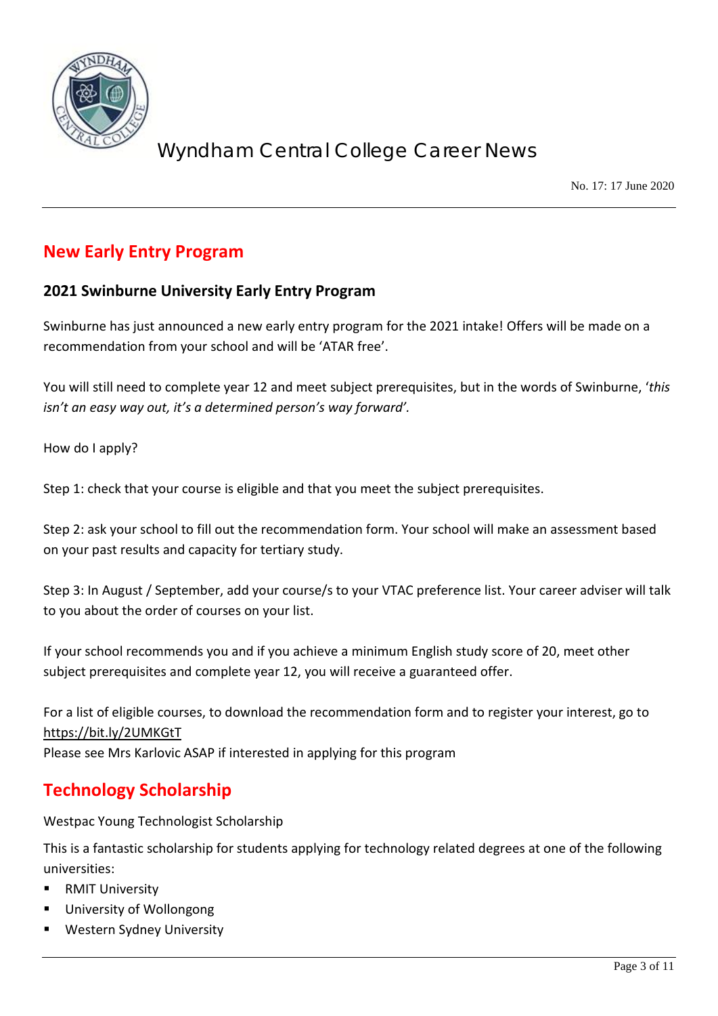

No. 17: 17 June 2020

## **New Early Entry Program**

### **2021 Swinburne University Early Entry Program**

Swinburne has just announced a new early entry program for the 2021 intake! Offers will be made on a recommendation from your school and will be 'ATAR free'.

You will still need to complete year 12 and meet subject prerequisites, but in the words of Swinburne, '*this isn't an easy way out, it's a determined person's way forward'.*

How do I apply?

Step 1: check that your course is eligible and that you meet the subject prerequisites.

Step 2: ask your school to fill out the recommendation form. Your school will make an assessment based on your past results and capacity for tertiary study.

Step 3: In August / September, add your course/s to your VTAC preference list. Your career adviser will talk to you about the order of courses on your list.

If your school recommends you and if you achieve a minimum English study score of 20, meet other subject prerequisites and complete year 12, you will receive a guaranteed offer.

For a list of eligible courses, to download the recommendation form and to register your interest, go to <https://bit.ly/2UMKGtT> Please see Mrs Karlovic ASAP if interested in applying for this program

## **Technology Scholarship**

Westpac Young Technologist Scholarship

This is a fantastic scholarship for students applying for technology related degrees at one of the following universities:

- RMIT University
- University of Wollongong
- Western Sydney University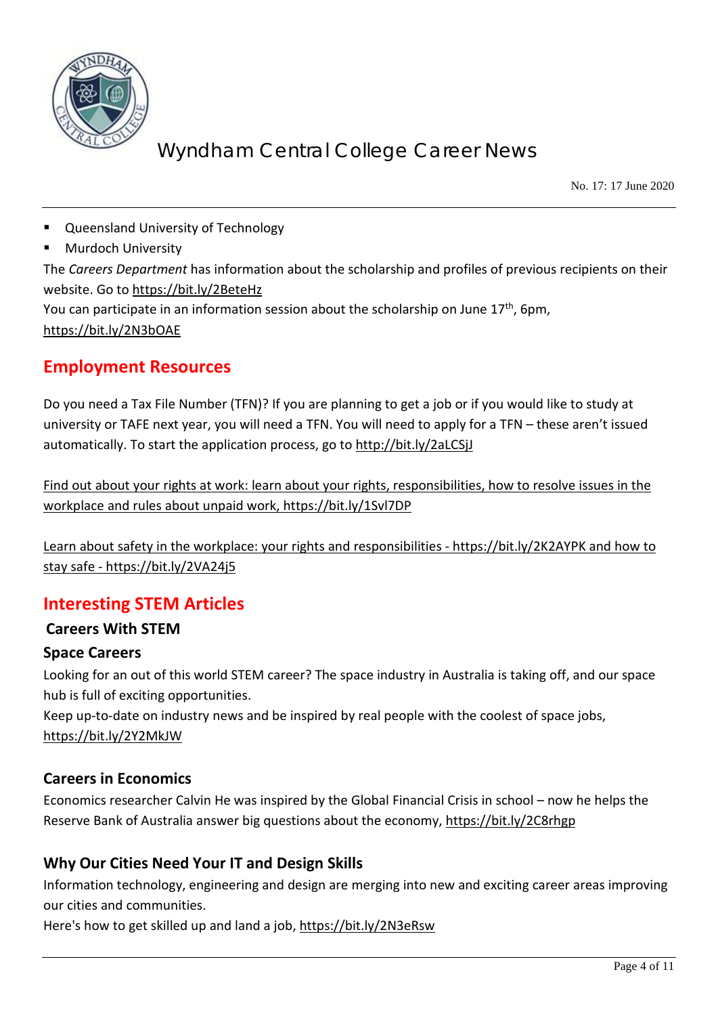

No. 17: 17 June 2020

- **Queensland University of Technology**
- Murdoch University

The *Careers Department* has information about the scholarship and profiles of previous recipients on their website. Go t[o https://bit.ly/2BeteHz](https://bit.ly/2BeteHz) 

You can participate in an information session about the scholarship on June  $17<sup>th</sup>$ , 6pm, <https://bit.ly/2N3bOAE>

### **Employment Resources**

Do you need a Tax File Number (TFN)? If you are planning to get a job or if you would like to study at university or TAFE next year, you will need a TFN. You will need to apply for a TFN – these aren't issued automatically. To start the application process, go to<http://bit.ly/2aLCSjJ>

Find out about your rights at work: learn about your rights, responsibilities, how to resolve issues in the workplace and rules about unpaid work,<https://bit.ly/1Svl7DP>

Learn about safety in the workplace: your rights and responsibilities - <https://bit.ly/2K2AYPK> and how to stay safe - <https://bit.ly/2VA24j5>

## **Interesting STEM Articles**

### **Careers With STEM**

### **Space Careers**

Looking for an out of this world STEM career? The space industry in Australia is taking off, and our space hub is full of exciting opportunities.

Keep up-to-date on industry news and be inspired by real people with the coolest of space jobs, <https://bit.ly/2Y2MkJW>

### **Careers in Economics**

Economics researcher Calvin He was inspired by the Global Financial Crisis in school – now he helps the Reserve Bank of Australia answer big questions about the economy,<https://bit.ly/2C8rhgp>

### **Why Our Cities Need Your IT and Design Skills**

Information technology, engineering and design are merging into new and exciting career areas improving our cities and communities.

Here's how to get skilled up and land a job,<https://bit.ly/2N3eRsw>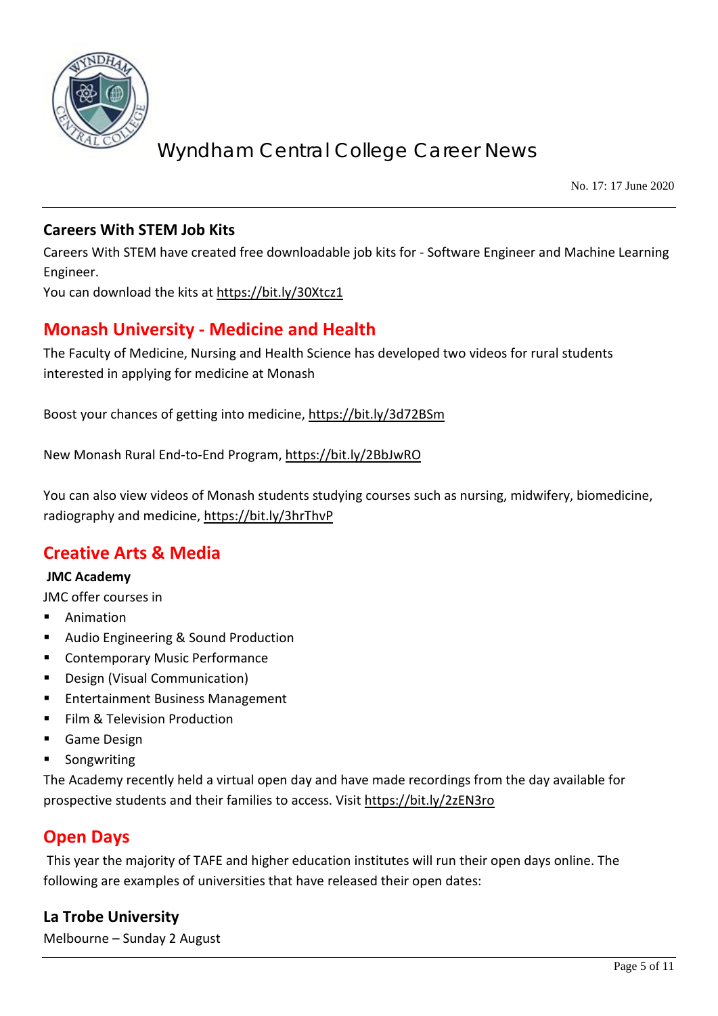

No. 17: 17 June 2020

### **Careers With STEM Job Kits**

Careers With STEM have created free downloadable job kits for - Software Engineer and Machine Learning Engineer.

You can download the kits at<https://bit.ly/30Xtcz1>

## **Monash University - Medicine and Health**

The Faculty of Medicine, Nursing and Health Science has developed two videos for rural students interested in applying for medicine at Monash

Boost your chances of getting into medicine,<https://bit.ly/3d72BSm>

New Monash Rural End-to-End Program,<https://bit.ly/2BbJwRO>

You can also view videos of Monash students studying courses such as nursing, midwifery, biomedicine, radiography and medicine,<https://bit.ly/3hrThvP>

### **Creative Arts & Media**

#### **JMC Academy**

JMC offer courses in

- **Animation**
- Audio Engineering & Sound Production
- **EXECONTEMPORARY Music Performance**
- Design (Visual Communication)
- Entertainment Business Management
- Film & Television Production
- **Game Design**
- Songwriting

The Academy recently held a virtual open day and have made recordings from the day available for prospective students and their families to access. Visit<https://bit.ly/2zEN3ro>

### **Open Days**

This year the majority of TAFE and higher education institutes will run their open days online. The following are examples of universities that have released their open dates:

### **La Trobe University**

Melbourne – Sunday 2 August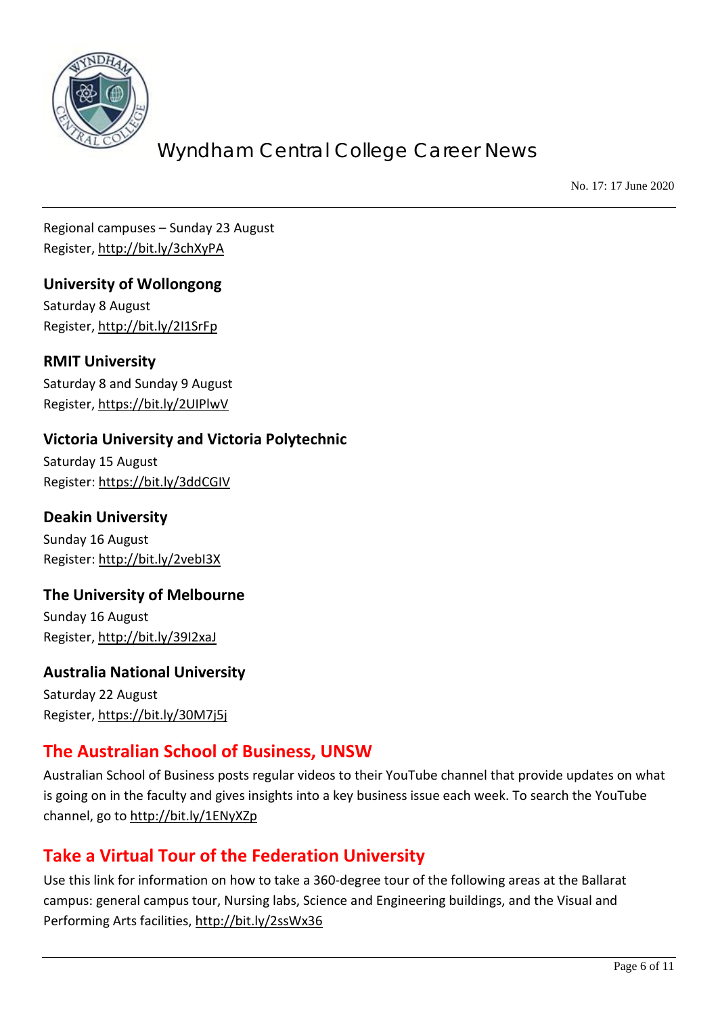

No. 17: 17 June 2020

Regional campuses – Sunday 23 August Register,<http://bit.ly/3chXyPA>

**University of Wollongong** Saturday 8 August Register,<http://bit.ly/2I1SrFp>

**RMIT University**  Saturday 8 and Sunday 9 August Register,<https://bit.ly/2UIPlwV>

### **Victoria University and Victoria Polytechnic**

Saturday 15 August Register[: https://bit.ly/3ddCGIV](https://bit.ly/3ddCGIV)

**Deakin University** Sunday 16 August Register[: http://bit.ly/2vebI3X](http://bit.ly/2vebI3X)

## **The University of Melbourne**

Sunday 16 August Register,<http://bit.ly/39I2xaJ>

### **Australia National University**

Saturday 22 August Register,<https://bit.ly/30M7j5j>

## **The Australian School of Business, UNSW**

Australian School of Business posts regular videos to their YouTube channel that provide updates on what is going on in the faculty and gives insights into a key business issue each week. To search the YouTube channel, go to<http://bit.ly/1ENyXZp>

## **Take a Virtual Tour of the Federation University**

Use this link for information on how to take a 360-degree tour of the following areas at the Ballarat campus: general campus tour, Nursing labs, Science and Engineering buildings, and the Visual and Performing Arts facilities,<http://bit.ly/2ssWx36>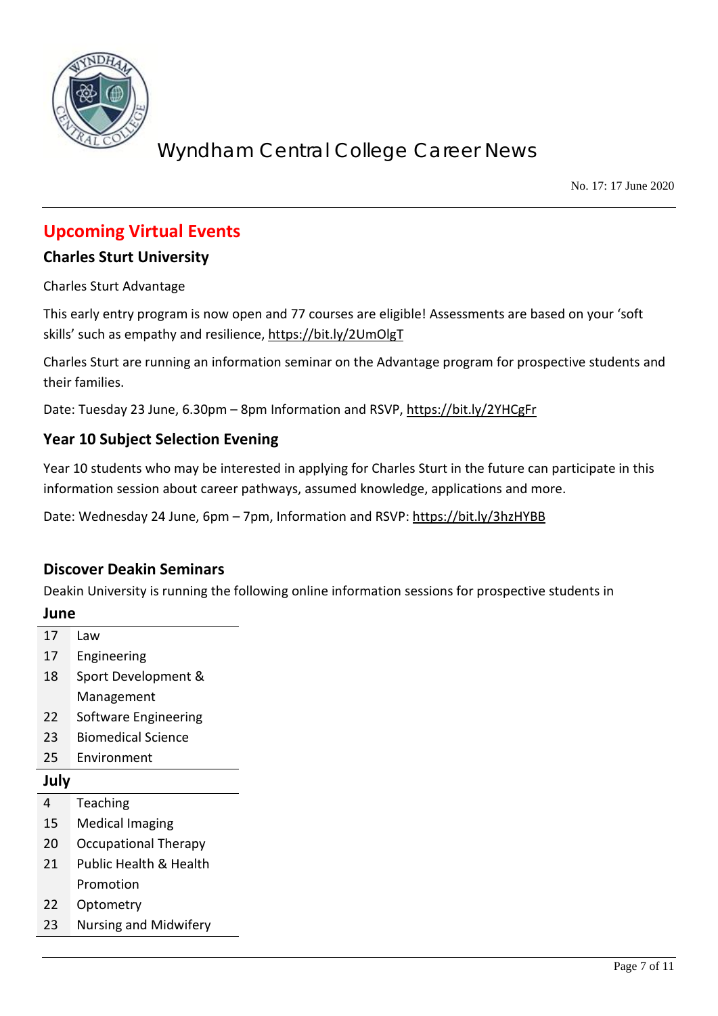

No. 17: 17 June 2020

### **Upcoming Virtual Events**

### **Charles Sturt University**

Charles Sturt Advantage

This early entry program is now open and 77 courses are eligible! Assessments are based on your 'soft skills' such as empathy and resilience, https://bit.ly/2UmOlgT

Charles Sturt are running an information seminar on the Advantage program for prospective students and their families.

Date: Tuesday 23 June, 6.30pm – 8pm Information and RSVP,<https://bit.ly/2YHCgFr>

### **Year 10 Subject Selection Evening**

Year 10 students who may be interested in applying for Charles Sturt in the future can participate in this information session about career pathways, assumed knowledge, applications and more.

Date: Wednesday 24 June, 6pm – 7pm, Information and RSVP:<https://bit.ly/3hzHYBB>

### **Discover Deakin Seminars**

Deakin University is running the following online information sessions for prospective students in

| June |                              |  |
|------|------------------------------|--|
| 17   | Law                          |  |
| 17   | Engineering                  |  |
| 18   | Sport Development &          |  |
|      | Management                   |  |
| 22   | Software Engineering         |  |
| 23   | <b>Biomedical Science</b>    |  |
| 25   | Environment                  |  |
| July |                              |  |
| 4    | Teaching                     |  |
| 15   | <b>Medical Imaging</b>       |  |
| 20   | <b>Occupational Therapy</b>  |  |
| 21   | Public Health & Health       |  |
|      | Promotion                    |  |
| 22   | Optometry                    |  |
| 23   | <b>Nursing and Midwifery</b> |  |
|      |                              |  |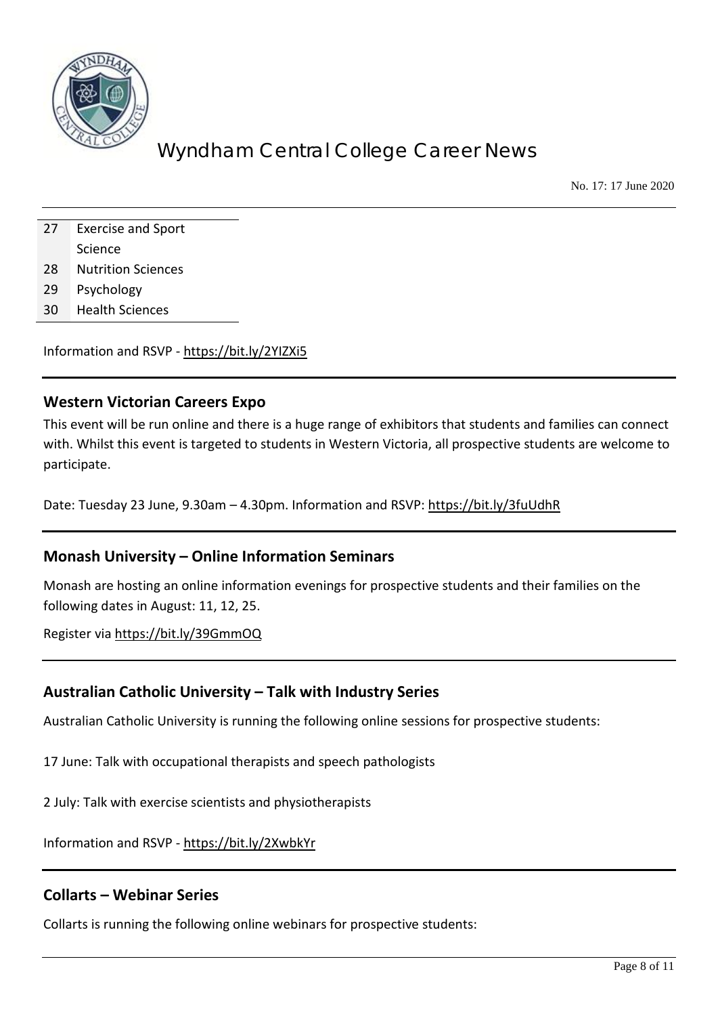

No. 17: 17 June 2020

| 27 | <b>Exercise and Sport</b> |  |
|----|---------------------------|--|
|    | Science                   |  |
| 28 | <b>Nutrition Sciences</b> |  |
| 29 | Psychology                |  |

30 Health Sciences

Information and RSVP - <https://bit.ly/2YIZXi5>

#### **Western Victorian Careers Expo**

This event will be run online and there is a huge range of exhibitors that students and families can connect with. Whilst this event is targeted to students in Western Victoria, all prospective students are welcome to participate.

Date: Tuesday 23 June, 9.30am – 4.30pm. Information and RSVP:<https://bit.ly/3fuUdhR>

#### **Monash University – Online Information Seminars**

Monash are hosting an online information evenings for prospective students and their families on the following dates in August: 11, 12, 25.

Register via<https://bit.ly/39GmmOQ>

### **Australian Catholic University – Talk with Industry Series**

Australian Catholic University is running the following online sessions for prospective students:

17 June: Talk with occupational therapists and speech pathologists

2 July: Talk with exercise scientists and physiotherapists

Information and RSVP - <https://bit.ly/2XwbkYr>

#### **Collarts – Webinar Series**

Collarts is running the following online webinars for prospective students: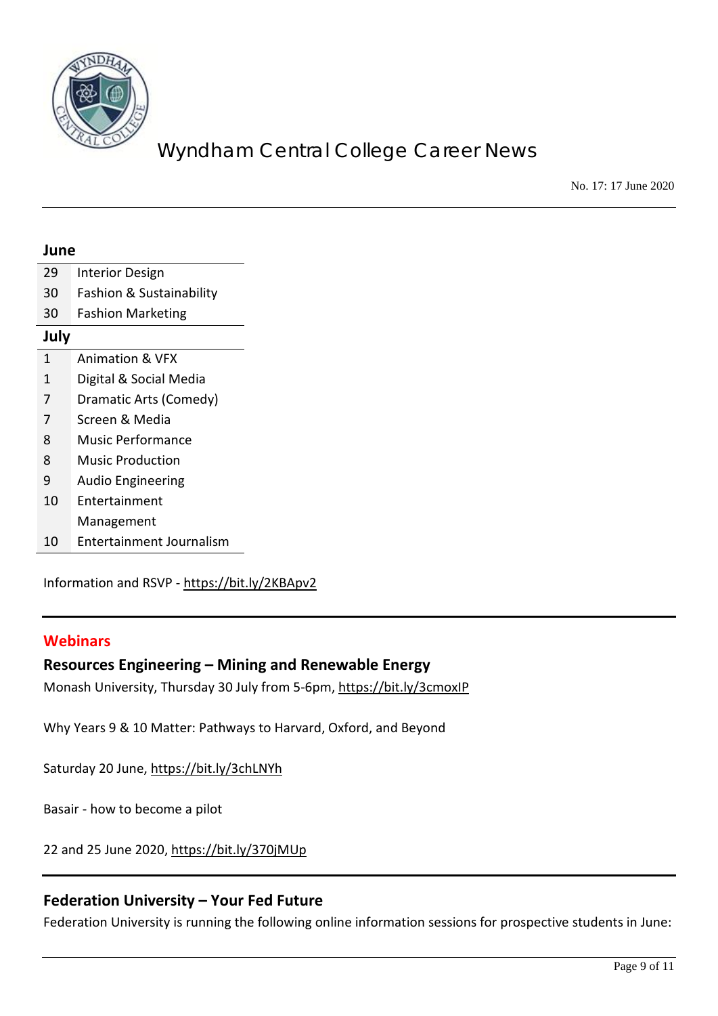

No. 17: 17 June 2020

| June |                                 |
|------|---------------------------------|
| 29   | <b>Interior Design</b>          |
| 30   | Fashion & Sustainability        |
| 30   | <b>Fashion Marketing</b>        |
| July |                                 |
| 1    | <b>Animation &amp; VFX</b>      |
| 1    | Digital & Social Media          |
| 7    | Dramatic Arts (Comedy)          |
| 7    | Screen & Media                  |
| 8    | <b>Music Performance</b>        |
| 8    | <b>Music Production</b>         |
| 9    | <b>Audio Engineering</b>        |
| 10   | Entertainment                   |
|      | Management                      |
| 10   | <b>Entertainment Journalism</b> |

Information and RSVP - <https://bit.ly/2KBApv2>

### **Webinars**

### **Resources Engineering – Mining and Renewable Energy**

Monash University, Thursday 30 July from 5-6pm[, https://bit.ly/3cmoxIP](https://bit.ly/3cmoxIP)

Why Years 9 & 10 Matter: Pathways to Harvard, Oxford, and Beyond

Saturday 20 June,<https://bit.ly/3chLNYh>

Basair - how to become a pilot

22 and 25 June 2020,<https://bit.ly/370jMUp>

### **Federation University – Your Fed Future**

Federation University is running the following online information sessions for prospective students in June: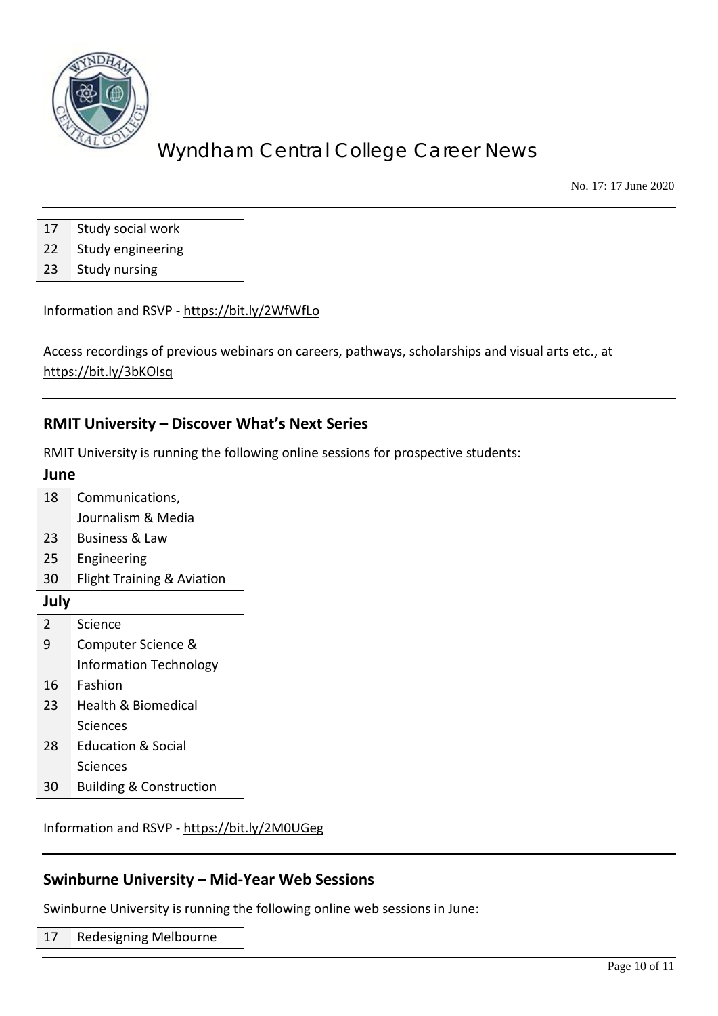

No. 17: 17 June 2020

- 17 Study social work
- 22 Study engineering
- 23 Study nursing

Information and RSVP - <https://bit.ly/2WfWfLo>

Access recordings of previous webinars on careers, pathways, scholarships and visual arts etc., at <https://bit.ly/3bKOIsq>

### **RMIT University – Discover What's Next Series**

RMIT University is running the following online sessions for prospective students:

| June           |                                       |  |
|----------------|---------------------------------------|--|
| 18             | Communications,                       |  |
|                | Journalism & Media                    |  |
| 23             | Business & Law                        |  |
| 25             | Engineering                           |  |
| 30             | <b>Flight Training &amp; Aviation</b> |  |
| July           |                                       |  |
| $\mathfrak{D}$ | Science                               |  |
| 9              | Computer Science &                    |  |
|                | Information Technology                |  |
| 16             | Fashion                               |  |
| 23             | Health & Biomedical                   |  |
|                | Sciences                              |  |
| 28             | <b>Education &amp; Social</b>         |  |
|                | Sciences                              |  |
| 30             | <b>Building &amp; Construction</b>    |  |

Information and RSVP - <https://bit.ly/2M0UGeg>

### **Swinburne University – Mid-Year Web Sessions**

Swinburne University is running the following online web sessions in June:

17 Redesigning Melbourne